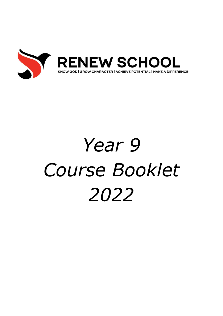

# *Year 9 Course Booklet 2022*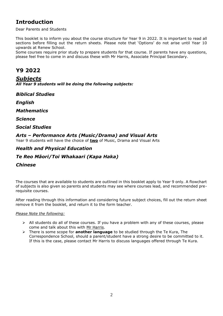## **Introduction**

Dear Parents and Students

This booklet is to inform you about the course structure for Year 9 in 2022. It is important to read all sections before filling out the return sheets. Please note that 'Options' do not arise until Year 10 upwards at Renew School.

Some courses require prior study to prepare students for that course. If parents have any questions, please feel free to come in and discuss these with Mr Harris, Associate Principal Secondary.

## **Y9 2022**

### *Subjects*

*All Year 9 students will be doing the following subjects:*

*Biblical Studies*

*English*

*Mathematics*

*Science*

*Social Studies*

## *Arts – Performance Arts (Music/Drama) and Visual Arts*

Year 9 students will have the choice of **two** of Music, Drama and Visual Arts

## *Health and Physical Education*

### *Te Reo Māori/Toi Whakaari (Kapa Haka)*

#### *Chinese*

The courses that are available to students are outlined in this booklet apply to Year 9 only. A flowchart of subjects is also given so parents and students may see where courses lead, and recommended prerequisite courses.

After reading through this information and considering future subject choices, fill out the return sheet remove it from the booklet, and return it to the form teacher.

#### *Please Note the following:*

- $\triangleright$  All students do all of these courses. If you have a problem with any of these courses, please come and talk about this with Mr Harris.
- ➢ There is some scope for **another language** to be studied through the Te Kura, The Correspondence School, should a parent/student have a strong desire to be committed to it. If this is the case, please contact Mr Harris to discuss languages offered through Te Kura.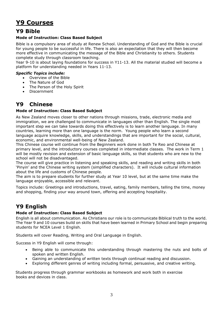# **Y9 Courses**

## **Y9 Bible**

#### **Mode of Instruction: Class Based Subject**

Bible is a compulsory area of study at Renew School. Understanding of God and the Bible is crucial for young people to be successful in life. There is also an expectation that they will then become more effective in communicating the message of the Bible and Christianity to others. Students complete study through classroom teaching.

Year 9-10 is about laying foundations for success in Y11-13. All the material studied will become a platform for understanding needed in Years 11-13.

#### *Specific Topics include:*

- Overview of the Bible
- The Nature of God
- The Person of the Holy Spirit
- Discernment

# **Y9 Chinese**

#### **Mode of Instruction: Class Based Subject**

As New Zealand moves closer to other nations through missions, trade, electronic media and immigration, we are challenged to communicate in languages other than English. The single most important step we can take towards doing this effectively is to learn another language. In many countries, learning more than one language is the norm. Young people who learn a second language acquire knowledge, skills, and understandings that are important for the social, cultural, economic, and environmental well-being of New Zealand.

This Chinese course will continue from the Beginners work done in both Te Reo and Chinese at primary level, and the introductory courses completed in intermediate classes. The work in Term 1 will be mostly revision and extension of basic language skills, so that students who are new to the school will not be disadvantaged.

The course will give practice in listening and speaking skills, and reading and writing skills in both 'Pinyin' and the Chinese writing system (simplified characters). It will include cultural information about the life and customs of Chinese people.

The aim is to prepare students for further study at Year 10 level, but at the same time make the language enjoyable, accessible and relevant.

Topics include: Greetings and introductions, travel, eating, family members, telling the time, money and shopping, finding your way around town, offering and accepting hospitality.

## **Y9 English**

#### **Mode of Instruction: Class Based Subject**

English is all about communication. As Christians our role is to communicate Biblical truth to the world. The Year 9 and 10 courses build on skills that have been learned in Primary School and begin preparing students for NCEA Level 1 English.

Students will cover Reading, Writing and Oral Language in English.

Success in Y9 English will come through:

- Being able to communicate this understanding through mastering the nuts and bolts of spoken and written English.
- Gaining an understanding of written texts through continual reading and discussion.
- Exploring different genres of writing including formal, persuasive, and creative writing.

Students progress through grammar workbooks as homework and work both in exercise books and devices in class.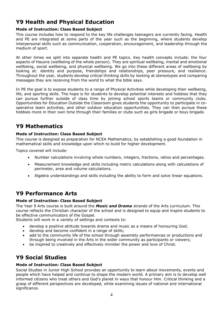# **Y9 Health and Physical Education**

#### **Mode of Instruction: Class Based Subject**

This course includes how to respond to the key life challenges teenagers are currently facing. Health and PE are integrated at some parts of the year such as the beginning, where students develop interpersonal skills such as communication, cooperation, encouragement, and leadership through the medium of sport.

At other times we split into separate health and PE topics. Key health concepts include: the four aspects of Hauora (wellbeing of the whole person). They are spiritual wellbeing, mental and emotional wellbeing, social wellbeing, and physical wellbeing. We go into these different areas of wellbeing by looking at: identity and purpose, friendships and relationships, peer pressure, and resilience. Throughout the year, students develop critical thinking skills by looking at stereotypes and comparing messages they are receiving from the world to what the bible says.

In PE the goal is to expose students to a range of Physical Activities while developing their wellbeing, life, and sporting skills. The hope is for students to develop potential interests and hobbies that they can pursue further outside of class time by joining school sports teams or community clubs. Opportunities for Education Outside the Classroom gives students the opportunity to participate in cooperative team activities, and other outdoor education opportunities. They can then pursue these hobbies more in their own time through their families or clubs such as girls brigade or boys brigade.

## **Y9 Mathematics**

#### **Mode of Instruction: Class Based Subject**

This course is designed as preparation for NCEA Mathematics, by establishing a good foundation in mathematical skills and knowledge upon which to build for higher development.

Topics covered will include:

- Number calculations involving whole numbers, integers, fractions, ratios and percentages.
- Measurement knowledge and skills including metric calculations along with calculations of perimeter, area and volume calculations.
- Algebra understandings and skills including the ability to form and solve linear equations.

## **Y9 Performance Arts**

#### **Mode of Instruction: Class Based Subject**

The Year 9 Arts course is built around the *Music and Drama* strands of the Arts curriculum. This course reflects the Christian character of the school and is designed to equip and inspire students to be effective communicators of the Gospel.

Students will work in a variety of settings and contexts to:

- develop a positive attitude towards drama and music as a means of honouring God;
- develop and become confident in a range of skills;
- add to the community life of the school through assembly performances or productions and through being involved in the Arts in the wider community as participants or viewers;
- be inspired to creatively and effectively minister the power and love of Christ.

# **Y9 Social Studies**

#### **Mode of Instruction: Class Based Subject**

Social Studies in Junior High School provides an opportunity to learn about movements, events and people which have helped and continue to shape the modern world. A primary aim is to develop well informed citizens who treat others and God's planet in ways that honour Him. Critical thinking and a grasp of different perspectives are developed, while examining issues of national and international significance.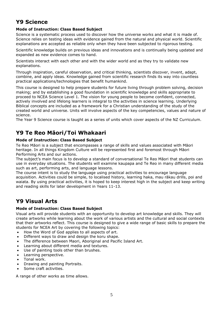## **Y9 Science**

#### **Mode of Instruction: Class Based Subject**

Science is a systematic process used to discover how the universe works and what it is made of. Science relies on testing ideas with evidence gained from the natural and physical world. Scientific explanations are accepted as reliable only when they have been subjected to rigorous testing.

Scientific knowledge builds on previous ideas and innovations and is continually being updated and expanded as new evidence comes to hand.

Scientists interact with each other and with the wider world and as they try to validate new explanations.

Through inspiration, careful observation, and critical thinking, scientists discover, invent, adapt, combine, and apply ideas. Knowledge gained from scientific research finds its way into countless practical applications/technologies that benefit humankind.

This course is designed to help prepare students for future living through problem solving, decision making; and by establishing a good foundation in scientific knowledge and skills appropriate to proceed to NCEA Science Level 1. The vision for young people to become confident, connected, actively involved and lifelong learners is integral to the activities in science learning. Underlying Biblical concepts are included as a framework for a Christian understanding of the study of the created world and universe. Units will involve aspects of the key competencies, values and nature of science.

The Year 9 Science course is taught as a series of units which cover aspects of the NZ Curriculum.

## **Y9 Te Reo Māori/Toi Whakaari**

#### **Mode of Instruction: Class Based Subject**

Te Reo Māori is a subject that encompasses a range of skills and values associated with Māori heritage. In all things Kingdom Culture will be represented first and foremost through Māori Performing Arts and our actions.

The subject's main focus is to develop a standard of conversational Te Reo Māori that students can use in everyday situations. The students will examine kaupapa and Te Reo in many different media such as art, performing arts, and language lessons.

The course intent is to study the language using practical activities to encourage language acquisition. Activities could be simple, to localised history, learning haka, mau rākau drills, poi and waiata. By using practical activities, it is hoped to keep interest high in the subject and keep writing and reading skills for later development in Years 11-13.

## **Y9 Visual Arts**

#### **Mode of Instruction: Class Based Subject**

Visual arts will provide students with an opportunity to develop art knowledge and skills. They will create artworks while learning about the work of various artists and the cultural and social contexts that their artworks reflect. This course is designed to give a wide range of basic skills to prepare the students for NCEA Art by covering the following topics:

- How the Word of God applies to all aspects of art.
- Different ways to draw and design the koru shape.
- The difference between Maori, Aboriginal and Pacific Island Art.
- Learning about different media and textures.
- Use of painting tools other than brushes.
- Learning perspective.
- Tonal work.
- Drawing and painting Portraits.
- Some craft activities.

A range of other works as time allows.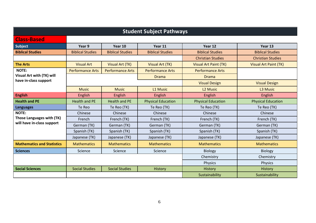| <b>Student Subject Pathways</b>                         |                         |                         |                           |                           |                           |  |
|---------------------------------------------------------|-------------------------|-------------------------|---------------------------|---------------------------|---------------------------|--|
| <b>Class-Based</b>                                      |                         |                         |                           |                           |                           |  |
| Subject                                                 | Year 9                  | Year 10                 | Year 11                   | Year 12                   | Year 13                   |  |
| <b>Biblical Studies</b>                                 | <b>Biblical Studies</b> | <b>Biblical Studies</b> | <b>Biblical Studies</b>   | <b>Biblical Studies</b>   | <b>Biblical Studies</b>   |  |
|                                                         |                         |                         |                           | <b>Christian Studies</b>  | <b>Christian Studies</b>  |  |
| <b>The Arts</b>                                         | <b>Visual Art</b>       | Visual Art (TK)         | <b>Visual Art (TK)</b>    | Visual Art Paint (TK)     | Visual Art Paint (TK)     |  |
| <b>NOTE:</b>                                            | <b>Performance Arts</b> | <b>Performance Arts</b> | <b>Performance Arts</b>   | <b>Performance Arts</b>   |                           |  |
| <b>Visual Art with (TK) will</b>                        |                         |                         | <b>Drama</b>              | <b>Drama</b>              |                           |  |
| have in-class support                                   |                         |                         |                           | <b>Visual Design</b>      | <b>Visual Design</b>      |  |
|                                                         | <b>Music</b>            | <b>Music</b>            | L1 Music                  | L <sub>2</sub> Music      | L3 Music                  |  |
| <b>English</b>                                          | English                 | English                 | English                   | English                   | English                   |  |
| <b>Health and PE</b>                                    | <b>Health and PE</b>    | <b>Health and PE</b>    | <b>Physical Education</b> | <b>Physical Education</b> | <b>Physical Education</b> |  |
| <b>Languages</b>                                        | Te Reo                  | Te Reo (TK)             | Te Reo (TK)               | Te Reo (TK)               | Te Reo (TK)               |  |
| <b>NOTE:</b>                                            | Chinese                 | Chinese                 | Chinese                   | Chinese                   | Chinese                   |  |
| Those Languages with (TK)<br>will have in-class support | French                  | French (TK)             | French (TK)               | French (TK)               | French (TK)               |  |
|                                                         | German (TK)             | German (TK)             | German (TK)               | German (TK)               | German (TK)               |  |
|                                                         | Spanish (TK)            | Spanish (TK)            | Spanish (TK)              | Spanish (TK)              | Spanish (TK)              |  |
|                                                         | Japanese (TK)           | Japanese (TK)           | Japanese (TK)             | Japanese (TK)             | Japanese (TK)             |  |
| <b>Mathematics and Statistics</b>                       | <b>Mathematics</b>      | <b>Mathematics</b>      | <b>Mathematics</b>        | <b>Mathematics</b>        | <b>Mathematics</b>        |  |
| <b>Sciences</b>                                         | Science                 | Science                 | Science                   | <b>Biology</b>            | <b>Biology</b>            |  |
|                                                         |                         |                         |                           | Chemistry                 | Chemistry                 |  |
|                                                         |                         |                         |                           | <b>Physics</b>            | Physics                   |  |
| <b>Social Sciences</b>                                  | <b>Social Studies</b>   | <b>Social Studies</b>   | History                   | <b>History</b>            | History                   |  |
|                                                         |                         |                         |                           | Sustainability            | Sustainability            |  |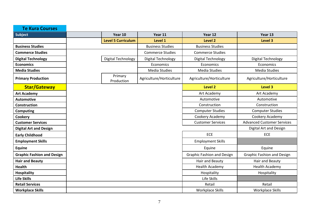| <b>Te Kura Courses</b>            |                           |                          |                                   |                                   |
|-----------------------------------|---------------------------|--------------------------|-----------------------------------|-----------------------------------|
| Subject                           | Year 10                   | Year 11                  | Year 12                           | Year 13                           |
|                                   | <b>Level 5 Curriculum</b> | Level 1                  | Level 2                           | Level 3                           |
| <b>Business Studies</b>           |                           | <b>Business Studies</b>  | <b>Business Studies</b>           |                                   |
| <b>Commerce Studies</b>           |                           | <b>Commerce Studies</b>  | <b>Commerce Studies</b>           |                                   |
| <b>Digital Technology</b>         | Digital Technology        | Digital Technology       | Digital Technology                | Digital Technology                |
| <b>Economics</b>                  |                           | Economics                | Economics                         | Economics                         |
| <b>Media Studies</b>              |                           | Media Studies            | <b>Media Studies</b>              | <b>Media Studies</b>              |
| <b>Primary Production</b>         | Primary<br>Production     | Agriculture/Horticulture | Agriculture/Horticulture          | Agriculture/Horticulture          |
| <b>Star/Gateway</b>               |                           |                          | Level 2                           | Level 3                           |
| <b>Art Academy</b>                |                           |                          | Art Academy                       | Art Academy                       |
| <b>Automotive</b>                 |                           |                          | Automotive                        | Automotive                        |
| <b>Construction</b>               |                           |                          | Construction                      | Construction                      |
| Computing                         |                           |                          | <b>Computer Studies</b>           | <b>Computer Studies</b>           |
| Cookery                           |                           |                          | Cookery Academy                   | Cookery Academy                   |
| <b>Customer Services</b>          |                           |                          | <b>Customer Services</b>          | <b>Advanced Customer Services</b> |
| <b>Digital Art and Design</b>     |                           |                          |                                   | Digital Art and Design            |
| <b>Early Childhood</b>            |                           |                          | <b>ECE</b>                        | <b>ECE</b>                        |
| <b>Employment Skills</b>          |                           |                          | <b>Employment Skills</b>          |                                   |
| Equine                            |                           |                          | Equine                            | Equine                            |
| <b>Graphic Fashion and Design</b> |                           |                          | <b>Graphic Fashion and Design</b> | <b>Graphic Fashion and Design</b> |
| <b>Hair and Beauty</b>            |                           |                          | Hair and Beauty                   | Hair and Beauty                   |
| <b>Health</b>                     |                           |                          | <b>Health Academy</b>             | Health Academy                    |
| <b>Hospitality</b>                |                           |                          | Hospitality                       | Hospitality                       |
| <b>Life Skills</b>                |                           |                          | Life Skills                       |                                   |
| <b>Retail Services</b>            |                           |                          | Retail                            | Retail                            |
| <b>Workplace Skills</b>           |                           |                          | Workplace Skills                  | <b>Workplace Skills</b>           |